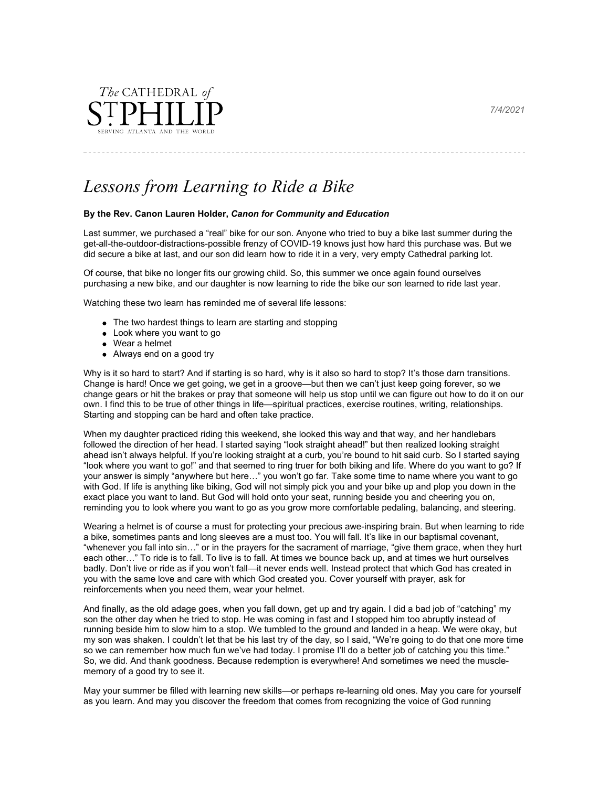

*Lessons from Learning to Ride a Bike*

## **By the Rev. Canon Lauren Holder,** *Canon for Community and Education*

Last summer, we purchased a "real" bike for our son. Anyone who tried to buy a bike last summer during the get-all-the-outdoor-distractions-possible frenzy of COVID-19 knows just how hard this purchase was. But we did secure a bike at last, and our son did learn how to ride it in a very, very empty Cathedral parking lot.

Of course, that bike no longer fits our growing child. So, this summer we once again found ourselves purchasing a new bike, and our daughter is now learning to ride the bike our son learned to ride last year.

Watching these two learn has reminded me of several life lessons:

- The two hardest things to learn are starting and stopping
- Look where you want to go
- Wear a helmet
- Always end on a good try

Why is it so hard to start? And if starting is so hard, why is it also so hard to stop? It's those darn transitions. Change is hard! Once we get going, we get in a groove—but then we can't just keep going forever, so we change gears or hit the brakes or pray that someone will help us stop until we can figure out how to do it on our own. I find this to be true of other things in life—spiritual practices, exercise routines, writing, relationships. Starting and stopping can be hard and often take practice.

When my daughter practiced riding this weekend, she looked this way and that way, and her handlebars followed the direction of her head. I started saying "look straight ahead!" but then realized looking straight ahead isn't always helpful. If you're looking straight at a curb, you're bound to hit said curb. So I started saying "look where you want to go!" and that seemed to ring truer for both biking and life. Where do you want to go? If your answer is simply "anywhere but here…" you won't go far. Take some time to name where you want to go with God. If life is anything like biking, God will not simply pick you and your bike up and plop you down in the exact place you want to land. But God will hold onto your seat, running beside you and cheering you on, reminding you to look where you want to go as you grow more comfortable pedaling, balancing, and steering.

Wearing a helmet is of course a must for protecting your precious awe-inspiring brain. But when learning to ride a bike, sometimes pants and long sleeves are a must too. You will fall. It's like in our baptismal covenant, "whenever you fall into sin…" or in the prayers for the sacrament of marriage, "give them grace, when they hurt each other…" To ride is to fall. To live is to fall. At times we bounce back up, and at times we hurt ourselves badly. Don't live or ride as if you won't fall—it never ends well. Instead protect that which God has created in you with the same love and care with which God created you. Cover yourself with prayer, ask for reinforcements when you need them, wear your helmet.

And finally, as the old adage goes, when you fall down, get up and try again. I did a bad job of "catching" my son the other day when he tried to stop. He was coming in fast and I stopped him too abruptly instead of running beside him to slow him to a stop. We tumbled to the ground and landed in a heap. We were okay, but my son was shaken. I couldn't let that be his last try of the day, so I said, "We're going to do that one more time so we can remember how much fun we've had today. I promise I'll do a better job of catching you this time." So, we did. And thank goodness. Because redemption is everywhere! And sometimes we need the musclememory of a good try to see it.

May your summer be filled with learning new skills—or perhaps re-learning old ones. May you care for yourself as you learn. And may you discover the freedom that comes from recognizing the voice of God running